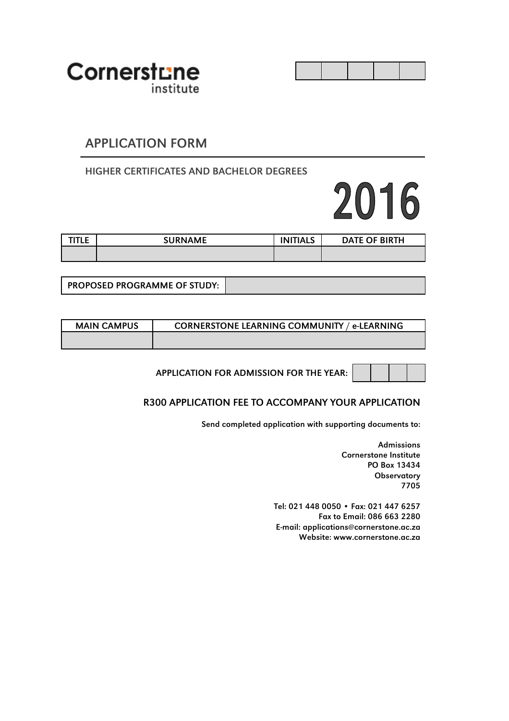

### APPLICATION FORM

#### HIGHER CERTIFICATES AND BACHELOR DEGREES

# 2016

| <b>TITLE</b> | <b>SURNAME</b> | <b>INITIALS</b> | DATE OF BIRTH |
|--------------|----------------|-----------------|---------------|
|              |                |                 |               |

PROPOSED PROGRAMME OF STUDY:

| <b>MAIN CAMPUS</b> | <b>CORNERSTONE LEARNING COMMUNITY / e-LEARNING</b> |
|--------------------|----------------------------------------------------|
|                    |                                                    |

APPLICATION FOR ADMISSION FOR THE YEAR:

#### R300 APPLICATION FEE TO ACCOMPANY YOUR APPLICATION

Send completed application with supporting documents to:

Admissions Cornerstone Institute PO Box 13434 **Observatory** 7705

Tel: 021 448 0050 • Fax: 021 447 6257 Fax to Email: 086 663 2280 E-mail: applications@cornerstone.ac.za Website: www.cornerstone.ac.za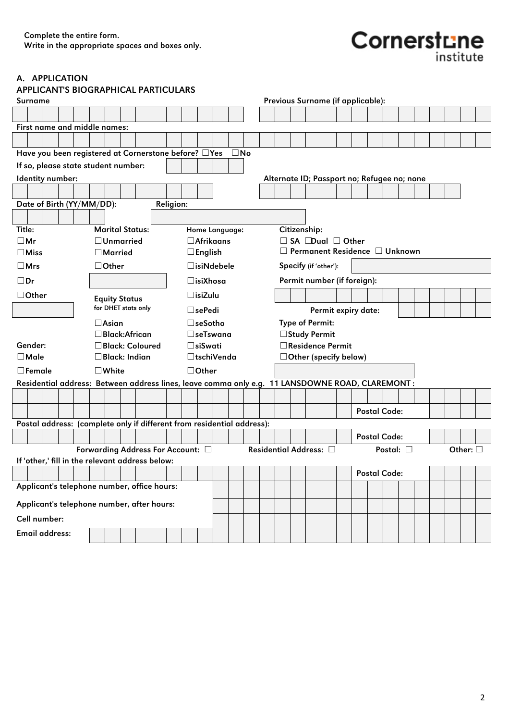## $\text{Corner}$

A. APPLICATION

|                                                                                                 | <b>APPLICANT'S BIOGRAPHICAL PARTICULARS</b><br>Previous Surname (if applicable): |                         |  |  |  |                  |  |                    |                      |                |                     |  |  |                                             |  |                     |  |  |  |                     |  |  |                  |  |
|-------------------------------------------------------------------------------------------------|----------------------------------------------------------------------------------|-------------------------|--|--|--|------------------|--|--------------------|----------------------|----------------|---------------------|--|--|---------------------------------------------|--|---------------------|--|--|--|---------------------|--|--|------------------|--|
| Surname                                                                                         |                                                                                  |                         |  |  |  |                  |  |                    |                      |                |                     |  |  |                                             |  |                     |  |  |  |                     |  |  |                  |  |
|                                                                                                 |                                                                                  |                         |  |  |  |                  |  |                    |                      |                |                     |  |  |                                             |  |                     |  |  |  |                     |  |  |                  |  |
| First name and middle names:                                                                    |                                                                                  |                         |  |  |  |                  |  |                    |                      |                |                     |  |  |                                             |  |                     |  |  |  |                     |  |  |                  |  |
|                                                                                                 |                                                                                  |                         |  |  |  |                  |  |                    |                      |                |                     |  |  |                                             |  |                     |  |  |  |                     |  |  |                  |  |
| Have you been registered at Cornerstone before? □Yes                                            |                                                                                  |                         |  |  |  |                  |  |                    |                      | $\square$ No   |                     |  |  |                                             |  |                     |  |  |  |                     |  |  |                  |  |
| If so, please state student number:                                                             |                                                                                  |                         |  |  |  |                  |  |                    |                      |                |                     |  |  |                                             |  |                     |  |  |  |                     |  |  |                  |  |
| Identity number:                                                                                |                                                                                  |                         |  |  |  |                  |  |                    |                      |                |                     |  |  | Alternate ID; Passport no; Refugee no; none |  |                     |  |  |  |                     |  |  |                  |  |
|                                                                                                 |                                                                                  |                         |  |  |  |                  |  |                    |                      |                |                     |  |  |                                             |  |                     |  |  |  |                     |  |  |                  |  |
| Date of Birth (YY/MM/DD):                                                                       |                                                                                  |                         |  |  |  | <b>Religion:</b> |  |                    |                      |                |                     |  |  |                                             |  |                     |  |  |  |                     |  |  |                  |  |
|                                                                                                 |                                                                                  |                         |  |  |  |                  |  |                    |                      |                |                     |  |  |                                             |  |                     |  |  |  |                     |  |  |                  |  |
| Title:                                                                                          |                                                                                  | <b>Marital Status:</b>  |  |  |  |                  |  |                    |                      | Home Language: |                     |  |  | Citizenship:                                |  |                     |  |  |  |                     |  |  |                  |  |
| $\square$ Mr                                                                                    |                                                                                  | $\Box$ Unmarried        |  |  |  |                  |  |                    | $\Box$ Afrikaans     |                |                     |  |  | $\Box$ SA $\Box$ Dual $\Box$ Other          |  |                     |  |  |  |                     |  |  |                  |  |
| $\Box$ Miss                                                                                     |                                                                                  | $\Box$ Married          |  |  |  |                  |  | $\square$ English  |                      |                |                     |  |  | $\Box$ Permanent Residence $\Box$ Unknown   |  |                     |  |  |  |                     |  |  |                  |  |
| $\square$ Mrs                                                                                   |                                                                                  | $\Box$ Other            |  |  |  |                  |  |                    | $\square$ isiNdebele |                |                     |  |  | Specify (if 'other'):                       |  |                     |  |  |  |                     |  |  |                  |  |
| $\square$ Dr                                                                                    |                                                                                  |                         |  |  |  |                  |  | $\square$ isiXhosa |                      |                |                     |  |  | Permit number (if foreign):                 |  |                     |  |  |  |                     |  |  |                  |  |
| $\Box$ Other                                                                                    |                                                                                  | <b>Equity Status</b>    |  |  |  |                  |  | $\square$ isiZulu  |                      |                |                     |  |  |                                             |  |                     |  |  |  |                     |  |  |                  |  |
|                                                                                                 |                                                                                  | for DHET stats only     |  |  |  |                  |  | $\Box$ sePedi      |                      |                |                     |  |  |                                             |  | Permit expiry date: |  |  |  |                     |  |  |                  |  |
|                                                                                                 |                                                                                  | $\Box$ Asian            |  |  |  |                  |  | $\square$ seSotho  |                      |                |                     |  |  | <b>Type of Permit:</b>                      |  |                     |  |  |  |                     |  |  |                  |  |
|                                                                                                 |                                                                                  | $\square$ Black:African |  |  |  |                  |  |                    | $\square$ seTswana   |                |                     |  |  | □ Study Permit                              |  |                     |  |  |  |                     |  |  |                  |  |
| Gender:                                                                                         |                                                                                  | □Black: Coloured        |  |  |  |                  |  | □siSwati           |                      |                |                     |  |  | □ Residence Permit                          |  |                     |  |  |  |                     |  |  |                  |  |
| $\Box$ Male                                                                                     |                                                                                  | $\square$ Black: Indian |  |  |  |                  |  |                    | □tschiVenda          |                |                     |  |  | $\Box$ Other (specify below)                |  |                     |  |  |  |                     |  |  |                  |  |
| $\Box$ Female                                                                                   |                                                                                  | $\square$ White         |  |  |  |                  |  | $\Box$ Other       |                      |                |                     |  |  |                                             |  |                     |  |  |  |                     |  |  |                  |  |
| Residential address: Between address lines, leave comma only e.g. 11 LANSDOWNE ROAD, CLAREMONT: |                                                                                  |                         |  |  |  |                  |  |                    |                      |                |                     |  |  |                                             |  |                     |  |  |  |                     |  |  |                  |  |
|                                                                                                 |                                                                                  |                         |  |  |  |                  |  |                    |                      |                |                     |  |  |                                             |  |                     |  |  |  |                     |  |  |                  |  |
|                                                                                                 |                                                                                  |                         |  |  |  |                  |  |                    |                      |                |                     |  |  |                                             |  |                     |  |  |  | <b>Postal Code:</b> |  |  |                  |  |
| Postal address: (complete only if different from residential address):                          |                                                                                  |                         |  |  |  |                  |  |                    |                      |                |                     |  |  |                                             |  |                     |  |  |  |                     |  |  |                  |  |
|                                                                                                 |                                                                                  |                         |  |  |  |                  |  |                    |                      |                | <b>Postal Code:</b> |  |  |                                             |  |                     |  |  |  |                     |  |  |                  |  |
|                                                                                                 | Forwarding Address For Account: □                                                |                         |  |  |  |                  |  |                    |                      |                |                     |  |  | Residential Address: [                      |  |                     |  |  |  | Postal: $\square$   |  |  | Other: $\square$ |  |
| If 'other,' fill in the relevant address below:                                                 |                                                                                  |                         |  |  |  |                  |  |                    |                      |                |                     |  |  |                                             |  |                     |  |  |  |                     |  |  |                  |  |
|                                                                                                 |                                                                                  |                         |  |  |  |                  |  |                    |                      |                |                     |  |  |                                             |  |                     |  |  |  | <b>Postal Code:</b> |  |  |                  |  |
| Applicant's telephone number, office hours:                                                     |                                                                                  |                         |  |  |  |                  |  |                    |                      |                |                     |  |  |                                             |  |                     |  |  |  |                     |  |  |                  |  |
| Applicant's telephone number, after hours:                                                      |                                                                                  |                         |  |  |  |                  |  |                    |                      |                |                     |  |  |                                             |  |                     |  |  |  |                     |  |  |                  |  |
| Cell number:                                                                                    |                                                                                  |                         |  |  |  |                  |  |                    |                      |                |                     |  |  |                                             |  |                     |  |  |  |                     |  |  |                  |  |
|                                                                                                 |                                                                                  |                         |  |  |  |                  |  |                    |                      |                |                     |  |  |                                             |  |                     |  |  |  |                     |  |  |                  |  |
|                                                                                                 | <b>Email address:</b>                                                            |                         |  |  |  |                  |  |                    |                      |                |                     |  |  |                                             |  |                     |  |  |  |                     |  |  |                  |  |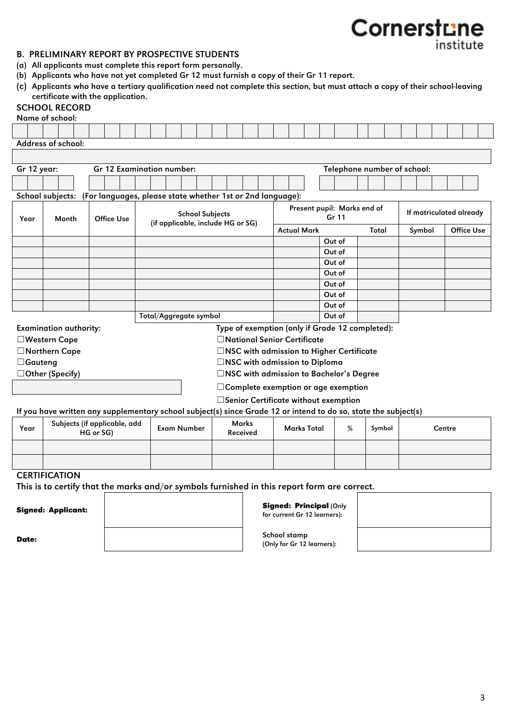#### B. PRELIMINARY REPORT BY PROSPECTIVE STUDENTS

- (a) All applicants must complete this report form personally.
- (b) Applicants who have not yet completed Gr 12 must furnish a copy of their Gr 11 report.
- (c) Applicants who have a tertiary qualification need not complete this section, but must attach a copy of their school-leaving certificate with the application.

#### SCHOOL RECORD

|                | Name of school:                                                                                                                            |           |                                                            |  |                                   |                        |  |  |                          |  |                                                                           |             |        |                             |        |                             |                         |        |                   |  |
|----------------|--------------------------------------------------------------------------------------------------------------------------------------------|-----------|------------------------------------------------------------|--|-----------------------------------|------------------------|--|--|--------------------------|--|---------------------------------------------------------------------------|-------------|--------|-----------------------------|--------|-----------------------------|-------------------------|--------|-------------------|--|
|                |                                                                                                                                            |           |                                                            |  |                                   |                        |  |  |                          |  |                                                                           |             |        |                             |        |                             |                         |        |                   |  |
|                | Address of school:                                                                                                                         |           |                                                            |  |                                   |                        |  |  |                          |  |                                                                           |             |        |                             |        |                             |                         |        |                   |  |
|                |                                                                                                                                            |           |                                                            |  |                                   |                        |  |  |                          |  |                                                                           |             |        |                             |        |                             |                         |        |                   |  |
| Gr 12 year:    |                                                                                                                                            |           | Gr 12 Examination number:                                  |  |                                   |                        |  |  |                          |  |                                                                           |             |        |                             |        | Telephone number of school: |                         |        |                   |  |
|                |                                                                                                                                            |           |                                                            |  |                                   |                        |  |  |                          |  |                                                                           |             |        |                             |        |                             |                         |        |                   |  |
|                | School subjects:                                                                                                                           |           | (For languages, please state whether 1st or 2nd language): |  |                                   |                        |  |  |                          |  |                                                                           |             |        |                             |        |                             |                         |        |                   |  |
|                |                                                                                                                                            |           |                                                            |  |                                   |                        |  |  |                          |  |                                                                           |             |        | Present pupil: Marks end of |        |                             |                         |        |                   |  |
| Year           | Month                                                                                                                                      |           | Office Use                                                 |  |                                   | <b>School Subjects</b> |  |  |                          |  |                                                                           |             | Gr 11  |                             |        |                             | If matriculated already |        |                   |  |
|                |                                                                                                                                            |           |                                                            |  | (if applicable, include HG or SG) |                        |  |  |                          |  | <b>Actual Mark</b>                                                        |             |        |                             | Total  |                             | Symbol                  |        | <b>Office Use</b> |  |
|                |                                                                                                                                            |           |                                                            |  |                                   |                        |  |  |                          |  |                                                                           |             | Out of |                             |        |                             |                         |        |                   |  |
|                |                                                                                                                                            |           |                                                            |  |                                   |                        |  |  |                          |  |                                                                           |             | Out of |                             |        |                             |                         |        |                   |  |
|                |                                                                                                                                            |           |                                                            |  |                                   |                        |  |  |                          |  |                                                                           |             | Out of |                             |        |                             |                         |        |                   |  |
|                |                                                                                                                                            |           |                                                            |  |                                   |                        |  |  |                          |  |                                                                           |             | Out of |                             |        |                             |                         |        |                   |  |
|                |                                                                                                                                            |           |                                                            |  |                                   |                        |  |  |                          |  |                                                                           |             | Out of |                             |        |                             |                         |        |                   |  |
|                |                                                                                                                                            |           |                                                            |  |                                   |                        |  |  |                          |  |                                                                           |             | Out of |                             |        |                             |                         |        |                   |  |
|                |                                                                                                                                            |           |                                                            |  |                                   |                        |  |  |                          |  |                                                                           |             | Out of |                             |        |                             |                         |        |                   |  |
|                |                                                                                                                                            |           |                                                            |  | Total/Aggregate symbol            |                        |  |  |                          |  |                                                                           |             | Out of |                             |        |                             |                         |        |                   |  |
|                | <b>Examination authority:</b>                                                                                                              |           |                                                            |  |                                   |                        |  |  |                          |  | Type of exemption (only if Grade 12 completed):                           |             |        |                             |        |                             |                         |        |                   |  |
|                | □Western Cape<br>□ Northern Cape                                                                                                           |           |                                                            |  |                                   |                        |  |  |                          |  | □National Senior Certificate<br>□NSC with admission to Higher Certificate |             |        |                             |        |                             |                         |        |                   |  |
| $\Box$ Gauteng |                                                                                                                                            |           |                                                            |  |                                   |                        |  |  |                          |  | □NSC with admission to Diploma                                            |             |        |                             |        |                             |                         |        |                   |  |
|                | □Other (Specify)                                                                                                                           |           |                                                            |  |                                   |                        |  |  |                          |  | □NSC with admission to Bachelor's Degree                                  |             |        |                             |        |                             |                         |        |                   |  |
|                |                                                                                                                                            |           |                                                            |  |                                   |                        |  |  |                          |  |                                                                           |             |        |                             |        |                             |                         |        |                   |  |
|                |                                                                                                                                            |           |                                                            |  |                                   |                        |  |  |                          |  | $\Box$ Complete exemption or age exemption                                |             |        |                             |        |                             |                         |        |                   |  |
|                |                                                                                                                                            |           |                                                            |  |                                   |                        |  |  |                          |  | □Senior Certificate without exemption                                     |             |        |                             |        |                             |                         |        |                   |  |
|                | If you have written any supplementary school subject(s) since Grade 12 or intend to do so, state the subject(s)                            |           |                                                            |  |                                   |                        |  |  |                          |  |                                                                           |             |        |                             |        |                             |                         |        |                   |  |
| Year           | Subjects (if applicable, add                                                                                                               | HG or SG) |                                                            |  | Exam Number                       |                        |  |  | <b>Marks</b><br>Received |  |                                                                           | Marks Total |        | %                           | Symbol |                             |                         | Centre |                   |  |
|                |                                                                                                                                            |           |                                                            |  |                                   |                        |  |  |                          |  |                                                                           |             |        |                             |        |                             |                         |        |                   |  |
|                |                                                                                                                                            |           |                                                            |  |                                   |                        |  |  |                          |  |                                                                           |             |        |                             |        |                             |                         |        |                   |  |
|                |                                                                                                                                            |           |                                                            |  |                                   |                        |  |  |                          |  |                                                                           |             |        |                             |        |                             |                         |        |                   |  |
|                | <b>CERTIFICATION</b>                                                                                                                       |           |                                                            |  |                                   |                        |  |  |                          |  |                                                                           |             |        |                             |        |                             |                         |        |                   |  |
|                | This is to certify that the marks and/or symbols furnished in this report form are correct.                                                |           |                                                            |  |                                   |                        |  |  |                          |  |                                                                           |             |        |                             |        |                             |                         |        |                   |  |
|                |                                                                                                                                            |           |                                                            |  |                                   |                        |  |  |                          |  |                                                                           |             |        |                             |        |                             |                         |        |                   |  |
|                | Signed: Principal (Only<br><b>Signed: Applicant:</b><br>$f_{\text{max}}$ account $f_{\text{max}}$ 19 $f_{\text{max}}$ and $f_{\text{max}}$ |           |                                                            |  |                                   |                        |  |  |                          |  |                                                                           |             |        |                             |        |                             |                         |        |                   |  |

**Date:** School stamp and School stamp and School stamp and School stamp and School stamp and School stamp and School stamp and School stamp and School stamp and School stamp and School stamp and School stamp and School sta

for current Gr 12 learners):

(Only for Gr 12 learners):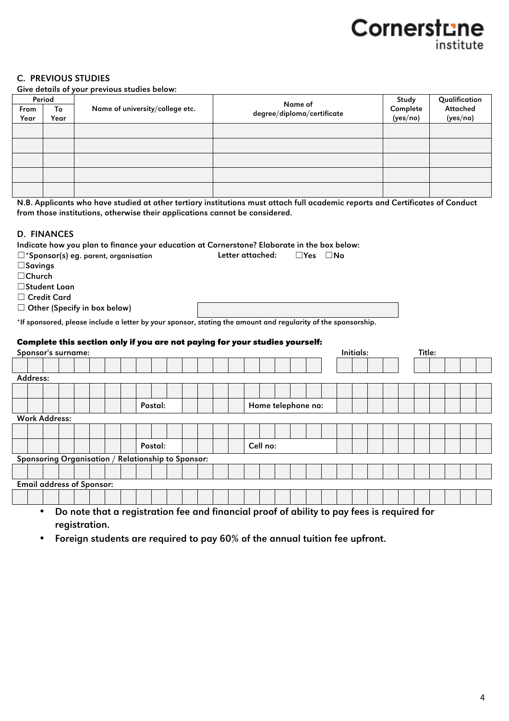#### C. PREVIOUS STUDIES

Give details of your previous studies below:

|      | Period |                                 | Name of                    | Study    | Qualification |
|------|--------|---------------------------------|----------------------------|----------|---------------|
| From | To     | Name of university/college etc. | degree/diploma/certificate | Complete | Attached      |
| Year | Year   |                                 |                            | (yes/no) | (yes/no)      |
|      |        |                                 |                            |          |               |
|      |        |                                 |                            |          |               |
|      |        |                                 |                            |          |               |
|      |        |                                 |                            |          |               |
|      |        |                                 |                            |          |               |

N.B. Applicants who have studied at other tertiary institutions must attach full academic reports and Certificates of Conduct from those institutions, otherwise their applications cannot be considered.

#### D. FINANCES

| Indicate how you plan to finance your education at Cornerstone? Elaborate in the box below:                   |  |                                                                                            |  |         |  |  |  |                    |  |                      |           |  |        |  |  |
|---------------------------------------------------------------------------------------------------------------|--|--------------------------------------------------------------------------------------------|--|---------|--|--|--|--------------------|--|----------------------|-----------|--|--------|--|--|
| $\square$ *Sponsor(s) eg. parent, organisation                                                                |  |                                                                                            |  |         |  |  |  | Letter attached:   |  | $\Box$ Yes $\Box$ No |           |  |        |  |  |
| $\square$ Savings                                                                                             |  |                                                                                            |  |         |  |  |  |                    |  |                      |           |  |        |  |  |
| $\Box$ Church                                                                                                 |  |                                                                                            |  |         |  |  |  |                    |  |                      |           |  |        |  |  |
| □Student Loan                                                                                                 |  |                                                                                            |  |         |  |  |  |                    |  |                      |           |  |        |  |  |
| $\Box$ Credit Card                                                                                            |  |                                                                                            |  |         |  |  |  |                    |  |                      |           |  |        |  |  |
| $\Box$ Other (Specify in box below)                                                                           |  |                                                                                            |  |         |  |  |  |                    |  |                      |           |  |        |  |  |
|                                                                                                               |  |                                                                                            |  |         |  |  |  |                    |  |                      |           |  |        |  |  |
| *If sponsored, please include a letter by your sponsor, stating the amount and regularity of the sponsorship. |  |                                                                                            |  |         |  |  |  |                    |  |                      |           |  |        |  |  |
| Complete this section only if you are not paying for your studies yourself:                                   |  |                                                                                            |  |         |  |  |  |                    |  |                      |           |  |        |  |  |
| Sponsor's surname:                                                                                            |  |                                                                                            |  |         |  |  |  |                    |  |                      | Initials: |  | Title: |  |  |
|                                                                                                               |  |                                                                                            |  |         |  |  |  |                    |  |                      |           |  |        |  |  |
|                                                                                                               |  |                                                                                            |  |         |  |  |  |                    |  |                      |           |  |        |  |  |
| Address:                                                                                                      |  |                                                                                            |  |         |  |  |  |                    |  |                      |           |  |        |  |  |
|                                                                                                               |  |                                                                                            |  |         |  |  |  |                    |  |                      |           |  |        |  |  |
|                                                                                                               |  |                                                                                            |  | Postal: |  |  |  | Home telephone no: |  |                      |           |  |        |  |  |
|                                                                                                               |  |                                                                                            |  |         |  |  |  |                    |  |                      |           |  |        |  |  |
| <b>Work Address:</b>                                                                                          |  |                                                                                            |  |         |  |  |  |                    |  |                      |           |  |        |  |  |
|                                                                                                               |  |                                                                                            |  |         |  |  |  |                    |  |                      |           |  |        |  |  |
|                                                                                                               |  |                                                                                            |  | Postal: |  |  |  | Cell no:           |  |                      |           |  |        |  |  |
| Sponsoring Organisation / Relationship to Sponsor:                                                            |  |                                                                                            |  |         |  |  |  |                    |  |                      |           |  |        |  |  |
|                                                                                                               |  |                                                                                            |  |         |  |  |  |                    |  |                      |           |  |        |  |  |
|                                                                                                               |  |                                                                                            |  |         |  |  |  |                    |  |                      |           |  |        |  |  |
| <b>Email address of Sponsor:</b>                                                                              |  |                                                                                            |  |         |  |  |  |                    |  |                      |           |  |        |  |  |
|                                                                                                               |  |                                                                                            |  |         |  |  |  |                    |  |                      |           |  |        |  |  |
| ٠                                                                                                             |  | Do note that a registration fee and financial proof of ability to pay fees is required for |  |         |  |  |  |                    |  |                      |           |  |        |  |  |
|                                                                                                               |  |                                                                                            |  |         |  |  |  |                    |  |                      |           |  |        |  |  |

registration.

• Foreign students are required to pay 60% of the annual tuition fee upfront.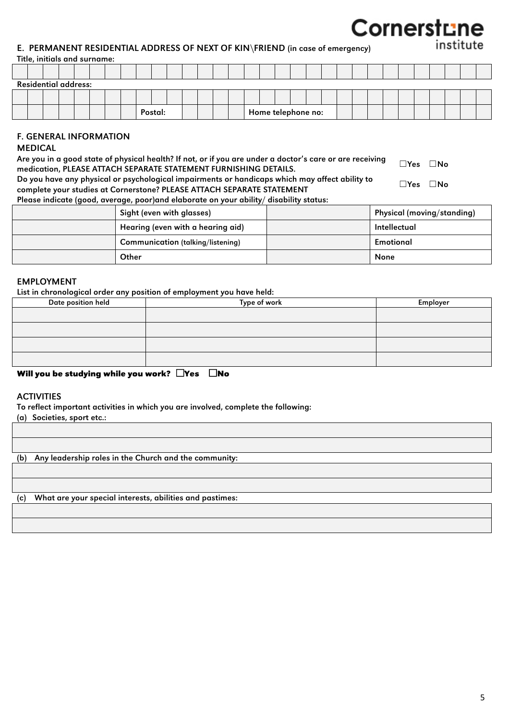#### E. PERMANENT RESIDENTIAL ADDRESS OF NEXT OF KIN\FRIEND (in case of emergency)

#### Title, initials and surname:

|  | <b>Residential address:</b> |  |  |  |         |  |  |  |  |                    |  |  |  |  |  |  |
|--|-----------------------------|--|--|--|---------|--|--|--|--|--------------------|--|--|--|--|--|--|
|  |                             |  |  |  |         |  |  |  |  |                    |  |  |  |  |  |  |
|  |                             |  |  |  | Postal: |  |  |  |  | Home telephone no: |  |  |  |  |  |  |

#### F. GENERAL INFORMATION

#### MEDICAL

| Are you in a good state of physical health? If not, or if you are under a doctor's care or are receiving | $\square$ Yes $\square$ No |  |
|----------------------------------------------------------------------------------------------------------|----------------------------|--|
| medication, PLEASE ATTACH SEPARATE STATEMENT FURNISHING DETAILS.                                         |                            |  |
| Do you have any physical or psychological impairments or handicaps which may affect ability to           | $\Box Y$ es $\Box$ No      |  |
| complete your studies at Cornerstone? PLEASE ATTACH SEPARATE STATEMENT                                   |                            |  |
| Please indicate (good, average, poor)and elaborate on your ability/ disability status:                   |                            |  |

| Sight (even with glasses)                | Physical (moving/standing) |
|------------------------------------------|----------------------------|
| Hearing (even with a hearing aid)        | Intellectual               |
| <b>Communication (talking/listening)</b> | Emotional                  |
| Other                                    | None                       |

#### EMPLOYMENT

List in chronological order any position of employment you have held:

| Date position held | Type of work | Employer |
|--------------------|--------------|----------|
|                    |              |          |
|                    |              |          |
|                    |              |          |
|                    |              |          |

#### **Will you be studying while you work? □Yes □No**

#### **ACTIVITIES**

To reflect important activities in which you are involved, complete the following:

(a) Societies, sport etc.:

(b) Any leadership roles in the Church and the community:

(c) What are your special interests, abilities and pastimes: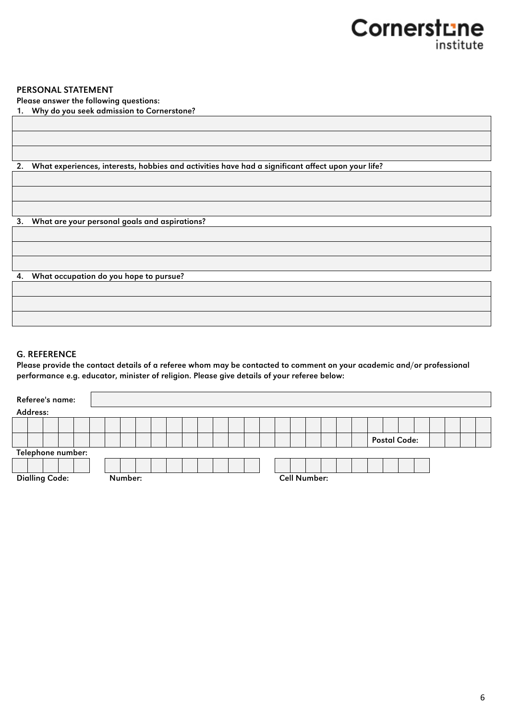#### PERSONAL STATEMENT

Please answer the following questions:

1. Why do you seek admission to Cornerstone?

2. What experiences, interests, hobbies and activities have had a significant affect upon your life?

3. What are your personal goals and aspirations?

4. What occupation do you hope to pursue?

#### G. REFERENCE

Please provide the contact details of a referee whom may be contacted to comment on your academic and/or professional performance e.g. educator, minister of religion. Please give details of your referee below:

| Referee's name:       |  |  |  |         |  |  |  |  |                     |  |  |  |  |  |  |  |  |  |  |  |                     |  |  |  |  |  |  |
|-----------------------|--|--|--|---------|--|--|--|--|---------------------|--|--|--|--|--|--|--|--|--|--|--|---------------------|--|--|--|--|--|--|
| Address:              |  |  |  |         |  |  |  |  |                     |  |  |  |  |  |  |  |  |  |  |  |                     |  |  |  |  |  |  |
|                       |  |  |  |         |  |  |  |  |                     |  |  |  |  |  |  |  |  |  |  |  |                     |  |  |  |  |  |  |
|                       |  |  |  |         |  |  |  |  |                     |  |  |  |  |  |  |  |  |  |  |  | <b>Postal Code:</b> |  |  |  |  |  |  |
| Telephone number:     |  |  |  |         |  |  |  |  |                     |  |  |  |  |  |  |  |  |  |  |  |                     |  |  |  |  |  |  |
|                       |  |  |  |         |  |  |  |  |                     |  |  |  |  |  |  |  |  |  |  |  |                     |  |  |  |  |  |  |
| <b>Dialling Code:</b> |  |  |  | Number: |  |  |  |  | <b>Cell Number:</b> |  |  |  |  |  |  |  |  |  |  |  |                     |  |  |  |  |  |  |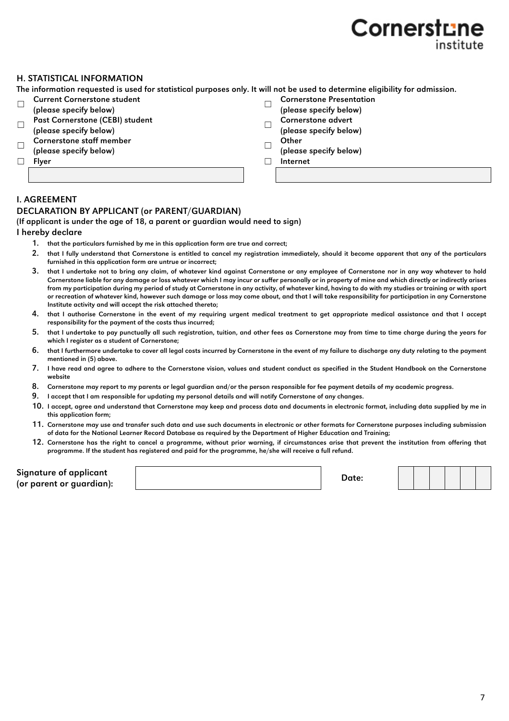#### H. STATISTICAL INFORMATION

The information requested is used for statistical purposes only. It will not be used to determine eligibility for admission.

- ☐ Current Cornerstone student (please specify below) ☐ Cornerstone Presentation
- ☐ Past Cornerstone (CEBI) student (please specify below) ☐ Cornerstone advert
- 
- $\Box$  Cornerstone staff member  $\Box$  Other (please specify below)
- 
- 
- (please specify below)
- 
- (please specify below)
- (please specify below)
- ☐ Flyer ☐ Internet

#### I. AGREEMENT

#### DECLARATION BY APPLICANT (or PARENT/GUARDIAN)

#### (If applicant is under the age of 18, a parent or guardian would need to sign)

#### I hereby declare

- 1. that the particulars furnished by me in this application form are true and correct;
- 2. that I fully understand that Cornerstone is entitled to cancel my registration immediately, should it become apparent that any of the particulars furnished in this application form are untrue or incorrect;
- 3. that I undertake not to bring any claim, of whatever kind against Cornerstone or any employee of Cornerstone nor in any way whatever to hold Cornerstone liable for any damage or loss whatever which I may incur or suffer personally or in property of mine and which directly or indirectly arises from my participation during my period of study at Cornerstone in any activity, of whatever kind, having to do with my studies or training or with sport or recreation of whatever kind, however such damage or loss may come about, and that I will take responsibility for participation in any Cornerstone Institute activity and will accept the risk attached thereto;
- 4. that I authorise Cornerstone in the event of my requiring urgent medical treatment to get appropriate medical assistance and that I accept responsibility for the payment of the costs thus incurred;
- 5. that I undertake to pay punctually all such registration, tuition, and other fees as Cornerstone may from time to time charge during the years for which I register as a student of Cornerstone;
- 6. that I furthermore undertake to cover all legal costs incurred by Cornerstone in the event of my failure to discharge any duty relating to the payment mentioned in (5) above.
- 7. I have read and agree to adhere to the Cornerstone vision, values and student conduct as specified in the Student Handbook on the Cornerstone website
- 8. Cornerstone may report to my parents or legal guardian and/or the person responsible for fee payment details of my academic progress.
- 9. I accept that I am responsible for updating my personal details and will notify Cornerstone of any changes.
- 10. I accept, agree and understand that Cornerstone may keep and process data and documents in electronic format, including data supplied by me in this application form;
- 11. Cornerstone may use and transfer such data and use such documents in electronic or other formats for Cornerstone purposes including submission of data for the National Learner Record Database as required by the Department of Higher Education and Training;
- 12. Cornerstone has the right to cancel a programme, without prior warning, if circumstances arise that prevent the institution from offering that programme. If the student has registered and paid for the programme, he/she will receive a full refund.

| Signature of applicant   |       |
|--------------------------|-------|
| (or parent or guardian): | Date: |